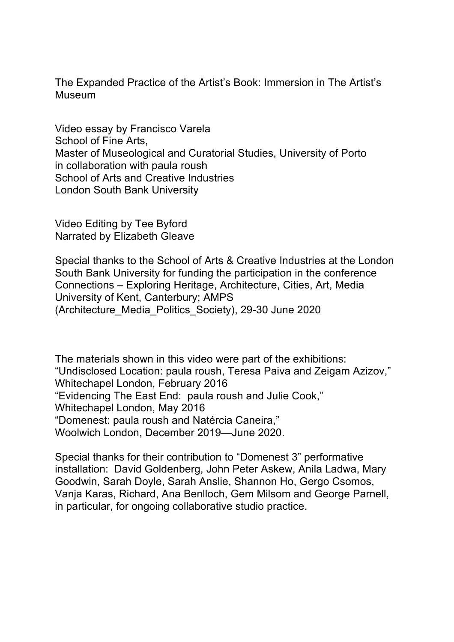The Expanded Practice of the Artist's Book: Immersion in The Artist's Museum

Video essay by Francisco Varela School of Fine Arts, Master of Museological and Curatorial Studies, University of Porto in collaboration with paula roush School of Arts and Creative Industries London South Bank University

Video Editing by Tee Byford Narrated by Elizabeth Gleave

Special thanks to the School of Arts & Creative Industries at the London South Bank University for funding the participation in the conference Connections – Exploring Heritage, Architecture, Cities, Art, Media University of Kent, Canterbury; AMPS (Architecture\_Media\_Politics\_Society), 29-30 June 2020

The materials shown in this video were part of the exhibitions: "Undisclosed Location: paula roush, Teresa Paiva and Zeigam Azizov," Whitechapel London, February 2016 "Evidencing The East End: paula roush and Julie Cook," Whitechapel London, May 2016 "Domenest: paula roush and Natércia Caneira," Woolwich London, December 2019—June 2020.

Special thanks for their contribution to "Domenest 3" performative installation: David Goldenberg, John Peter Askew, Anila Ladwa, Mary Goodwin, Sarah Doyle, Sarah Anslie, Shannon Ho, Gergo Csomos, Vanja Karas, Richard, Ana Benlloch, Gem Milsom and George Parnell, in particular, for ongoing collaborative studio practice.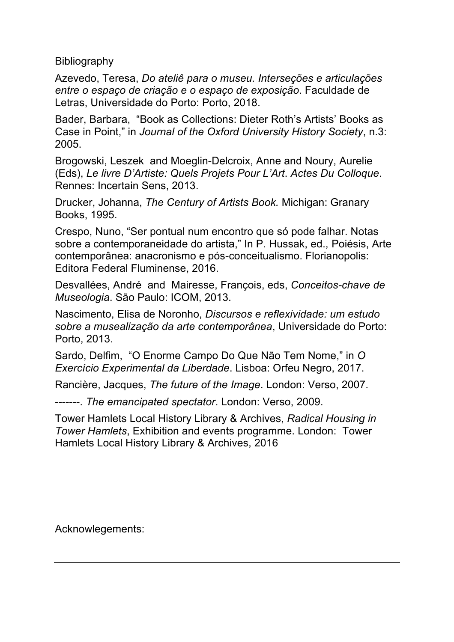Bibliography

Azevedo, Teresa, *Do ateliê para o museu. Interseções e articulações entre o espaço de criação e o espaço de exposição*. Faculdade de Letras, Universidade do Porto: Porto, 2018.

Bader, Barbara, "Book as Collections: Dieter Roth's Artists' Books as Case in Point," in *Journal of the Oxford University History Society*, n.3: 2005.

Brogowski, Leszek and Moeglin-Delcroix, Anne and Noury, Aurelie (Eds), *Le livre D'Artiste: Quels Projets Pour L'Art*. *Actes Du Colloque*. Rennes: Incertain Sens, 2013.

Drucker, Johanna, *The Century of Artists Book.* Michigan: Granary Books, 1995.

Crespo, Nuno, "Ser pontual num encontro que só pode falhar. Notas sobre a contemporaneidade do artista," In P. Hussak, ed., Poiésis, Arte contemporânea: anacronismo e pós-conceitualismo. Florianopolis: Editora Federal Fluminense, 2016.

Desvallées, André and Mairesse, François, eds, *Conceitos-chave de Museologia*. São Paulo: ICOM, 2013.

Nascimento, Elisa de Noronho, *Discursos e reflexividade: um estudo sobre a musealização da arte contemporânea*, Universidade do Porto: Porto, 2013.

Sardo, Delfim, "O Enorme Campo Do Que Não Tem Nome," in *O Exercício Experimental da Liberdade*. Lisboa: Orfeu Negro, 2017.

Rancière, Jacques, *The future of the Image*. London: Verso, 2007.

-------. *The emancipated spectator*. London: Verso, 2009.

Tower Hamlets Local History Library & Archives, *Radical Housing in Tower Hamlets*, Exhibition and events programme. London: Tower Hamlets Local History Library & Archives, 2016

Acknowlegements: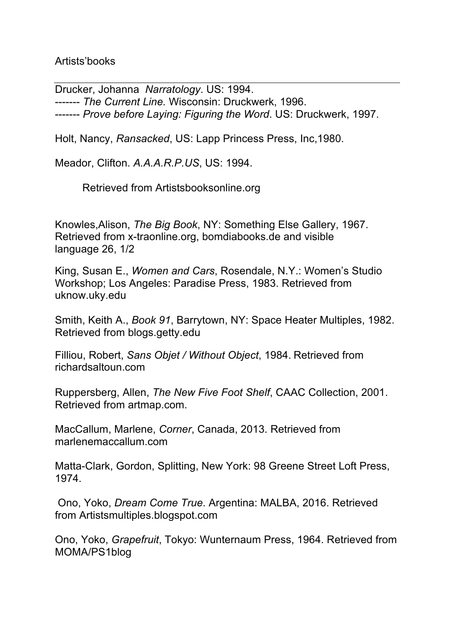Artists'books

Drucker, Johanna *Narratology*. US: 1994. ------- *The Current Line.* Wisconsin: Druckwerk, 1996. ------- *Prove before Laying: Figuring the Word*. US: Druckwerk, 1997.

Holt, Nancy, *Ransacked*, US: Lapp Princess Press, Inc,1980.

Meador, Clifton. *A.A.A.R.P.US*, US: 1994.

Retrieved from Artistsbooksonline.org

Knowles,Alison, *The Big Book*, NY: Something Else Gallery, 1967. Retrieved from x-traonline.org, bomdiabooks.de and visible language 26, 1/2

King, Susan E., *Women and Cars*, Rosendale, N.Y.: Women's Studio Workshop; Los Angeles: Paradise Press, 1983. Retrieved from uknow.uky.edu

Smith, Keith A., *Book 91*, Barrytown, NY: Space Heater Multiples, 1982. Retrieved from blogs.getty.edu

Filliou, Robert, *Sans Objet / Without Object*, 1984. Retrieved from richardsaltoun.com

Ruppersberg, Allen, *The New Five Foot Shelf*, CAAC Collection, 2001. Retrieved from artmap.com.

MacCallum, Marlene, *Corner*, Canada, 2013. Retrieved from marlenemaccallum.com

Matta-Clark, Gordon, Splitting, New York: 98 Greene Street Loft Press, 1974.

Ono, Yoko, *Dream Come True*. Argentina: MALBA, 2016. Retrieved from Artistsmultiples.blogspot.com

Ono, Yoko, *Grapefruit*, Tokyo: Wunternaum Press, 1964. Retrieved from MOMA/PS1blog